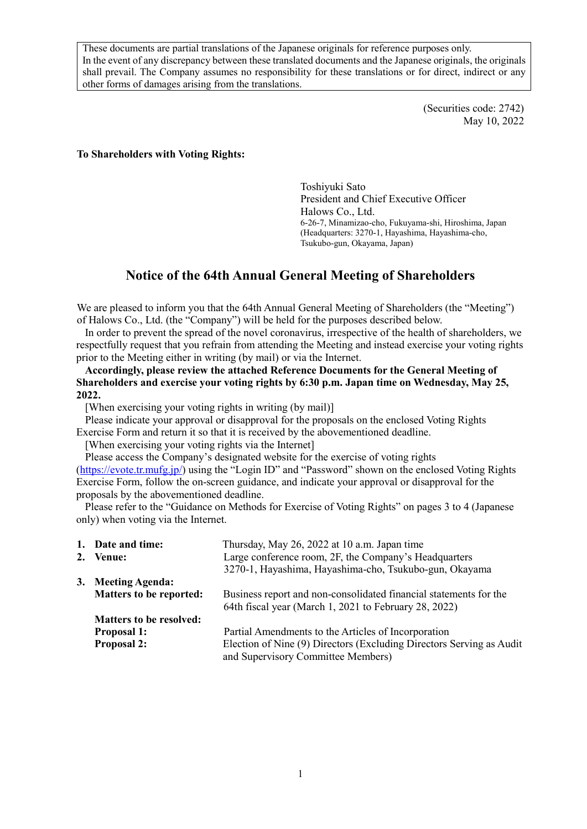These documents are partial translations of the Japanese originals for reference purposes only. In the event of any discrepancy between these translated documents and the Japanese originals, the originals shall prevail. The Company assumes no responsibility for these translations or for direct, indirect or any other forms of damages arising from the translations.

> (Securities code: 2742) May 10, 2022

#### **To Shareholders with Voting Rights:**

Toshiyuki Sato President and Chief Executive Officer Halows Co., Ltd. 6-26-7, Minamizao-cho, Fukuyama-shi, Hiroshima, Japan (Headquarters: 3270-1, Hayashima, Hayashima-cho, Tsukubo-gun, Okayama, Japan)

### **Notice of the 64th Annual General Meeting of Shareholders**

We are pleased to inform you that the 64th Annual General Meeting of Shareholders (the "Meeting") of Halows Co., Ltd. (the "Company") will be held for the purposes described below.

In order to prevent the spread of the novel coronavirus, irrespective of the health of shareholders, we respectfully request that you refrain from attending the Meeting and instead exercise your voting rights prior to the Meeting either in writing (by mail) or via the Internet.

**Accordingly, please review the attached Reference Documents for the General Meeting of Shareholders and exercise your voting rights by 6:30 p.m. Japan time on Wednesday, May 25, 2022.** 

[When exercising your voting rights in writing (by mail)]

Please indicate your approval or disapproval for the proposals on the enclosed Voting Rights Exercise Form and return it so that it is received by the abovementioned deadline.

[When exercising your voting rights via the Internet]

Please access the Company's designated website for the exercise of voting rights (https://evote.tr.mufg.jp/) using the "Login ID" and "Password" shown on the enclosed Voting Rights Exercise Form, follow the on-screen guidance, and indicate your approval or disapproval for the proposals by the abovementioned deadline.

Please refer to the "Guidance on Methods for Exercise of Voting Rights" on pages 3 to 4 (Japanese only) when voting via the Internet.

| 1. Date and time:              | Thursday, May 26, 2022 at 10 a.m. Japan time                                                               |
|--------------------------------|------------------------------------------------------------------------------------------------------------|
| 2. Venue:                      | Large conference room, 2F, the Company's Headquarters                                                      |
|                                | 3270-1, Hayashima, Hayashima-cho, Tsukubo-gun, Okayama                                                     |
| 3. Meeting Agenda:             |                                                                                                            |
| <b>Matters to be reported:</b> | Business report and non-consolidated financial statements for the                                          |
|                                | 64th fiscal year (March 1, 2021 to February 28, 2022)                                                      |
| <b>Matters to be resolved:</b> |                                                                                                            |
| <b>Proposal 1:</b>             | Partial Amendments to the Articles of Incorporation                                                        |
| <b>Proposal 2:</b>             | Election of Nine (9) Directors (Excluding Directors Serving as Audit<br>and Supervisory Committee Members) |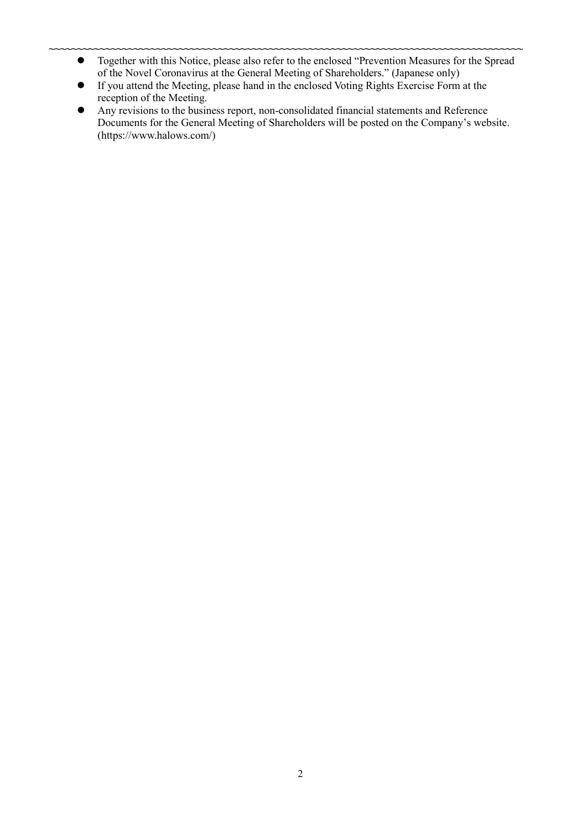- **~~~~~~~~~~~~~~~~~~~~~~~~~~~~~~~~~~~~~~~~~~~~~~~~~~~~~~~~~~~~~~~~~~~~~~~~~~~~~~~~~~~~** Together with this Notice, please also refer to the enclosed "Prevention Measures for the Spread of the Novel Coronavirus at the General Meeting of Shareholders." (Japanese only)
	- If you attend the Meeting, please hand in the enclosed Voting Rights Exercise Form at the reception of the Meeting.
	- Any revisions to the business report, non-consolidated financial statements and Reference Documents for the General Meeting of Shareholders will be posted on the Company's website. (https://www.halows.com/)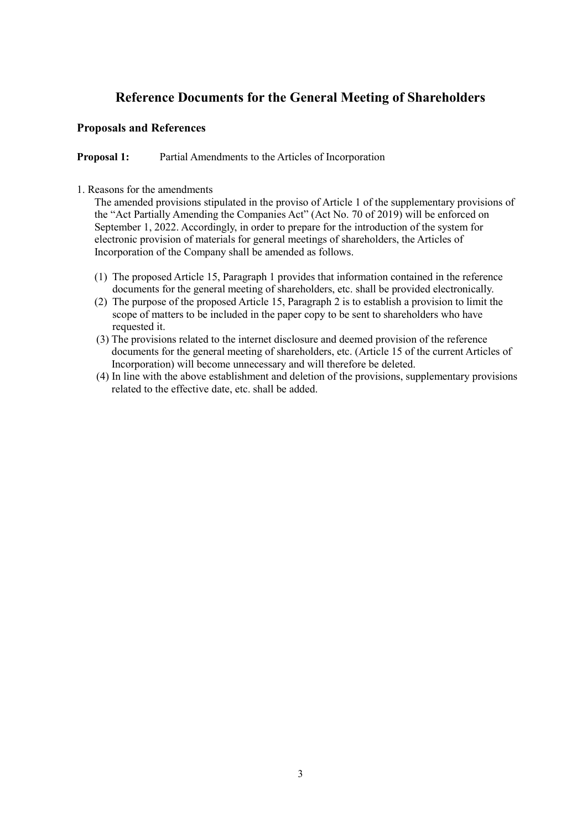# **Reference Documents for the General Meeting of Shareholders**

### **Proposals and References**

**Proposal 1:** Partial Amendments to the Articles of Incorporation

1. Reasons for the amendments

The amended provisions stipulated in the proviso of Article 1 of the supplementary provisions of the "Act Partially Amending the Companies Act" (Act No. 70 of 2019) will be enforced on September 1, 2022. Accordingly, in order to prepare for the introduction of the system for electronic provision of materials for general meetings of shareholders, the Articles of Incorporation of the Company shall be amended as follows.

- (1) The proposed Article 15, Paragraph 1 provides that information contained in the reference documents for the general meeting of shareholders, etc. shall be provided electronically.
- (2) The purpose of the proposed Article 15, Paragraph 2 is to establish a provision to limit the scope of matters to be included in the paper copy to be sent to shareholders who have requested it.
- (3) The provisions related to the internet disclosure and deemed provision of the reference documents for the general meeting of shareholders, etc. (Article 15 of the current Articles of Incorporation) will become unnecessary and will therefore be deleted.
- (4) In line with the above establishment and deletion of the provisions, supplementary provisions related to the effective date, etc. shall be added.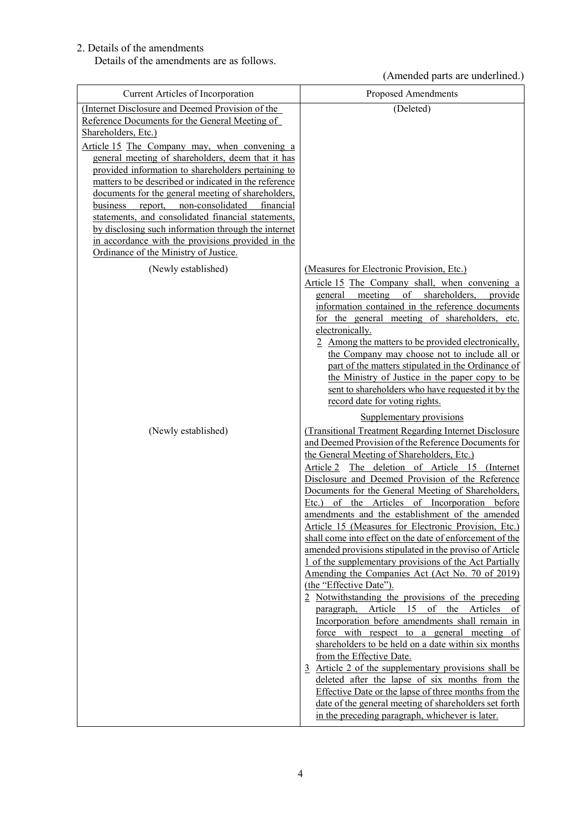### 2. Details of the amendments

Details of the amendments are as follows.

## (Amended parts are underlined.)

| Current Articles of Incorporation                                                                                                                                                                                                                                                                                                                                                                                                                                                                                                                                                                                                                                   | Proposed Amendments                                                                                                                                                                                                                                                                                                                                                                                                                                                                                                                                                                                                                                                                                                                                                                                                                                                                                                                                                                                                                                                                                                                                                                                                                                                                                                                                          |
|---------------------------------------------------------------------------------------------------------------------------------------------------------------------------------------------------------------------------------------------------------------------------------------------------------------------------------------------------------------------------------------------------------------------------------------------------------------------------------------------------------------------------------------------------------------------------------------------------------------------------------------------------------------------|--------------------------------------------------------------------------------------------------------------------------------------------------------------------------------------------------------------------------------------------------------------------------------------------------------------------------------------------------------------------------------------------------------------------------------------------------------------------------------------------------------------------------------------------------------------------------------------------------------------------------------------------------------------------------------------------------------------------------------------------------------------------------------------------------------------------------------------------------------------------------------------------------------------------------------------------------------------------------------------------------------------------------------------------------------------------------------------------------------------------------------------------------------------------------------------------------------------------------------------------------------------------------------------------------------------------------------------------------------------|
| (Internet Disclosure and Deemed Provision of the<br>Reference Documents for the General Meeting of<br>Shareholders, Etc.)<br>Article 15 The Company may, when convening a<br>general meeting of shareholders, deem that it has<br>provided information to shareholders pertaining to<br>matters to be described or indicated in the reference<br>documents for the general meeting of shareholders,<br>report, non-consolidated<br>business<br>financial<br>statements, and consolidated financial statements,<br>by disclosing such information through the internet<br>in accordance with the provisions provided in the<br>Ordinance of the Ministry of Justice. | (Deleted)                                                                                                                                                                                                                                                                                                                                                                                                                                                                                                                                                                                                                                                                                                                                                                                                                                                                                                                                                                                                                                                                                                                                                                                                                                                                                                                                                    |
| (Newly established)                                                                                                                                                                                                                                                                                                                                                                                                                                                                                                                                                                                                                                                 | (Measures for Electronic Provision, Etc.)<br>Article 15 The Company shall, when convening a<br>meeting of shareholders, provide<br>general<br>information contained in the reference documents<br>for the general meeting of shareholders, etc.<br>electronically.<br>2 Among the matters to be provided electronically,<br>the Company may choose not to include all or<br>part of the matters stipulated in the Ordinance of<br>the Ministry of Justice in the paper copy to be<br>sent to shareholders who have requested it by the<br>record date for voting rights.                                                                                                                                                                                                                                                                                                                                                                                                                                                                                                                                                                                                                                                                                                                                                                                     |
| (Newly established)                                                                                                                                                                                                                                                                                                                                                                                                                                                                                                                                                                                                                                                 | Supplementary provisions<br>(Transitional Treatment Regarding Internet Disclosure<br>and Deemed Provision of the Reference Documents for<br>the General Meeting of Shareholders, Etc.)<br>Article 2 The deletion of Article 15 (Internet<br>Disclosure and Deemed Provision of the Reference<br>Documents for the General Meeting of Shareholders,<br>of the Articles of Incorporation before<br>Etc.)<br>amendments and the establishment of the amended<br>Article 15 (Measures for Electronic Provision, Etc.)<br>shall come into effect on the date of enforcement of the<br>amended provisions stipulated in the proviso of Article<br>1 of the supplementary provisions of the Act Partially<br>Amending the Companies Act (Act No. 70 of 2019)<br>(the "Effective Date").<br>2 Notwithstanding the provisions of the preceding<br>Article<br>15<br>of the Articles of<br>paragraph,<br>Incorporation before amendments shall remain in<br>force with respect to a general meeting of<br>shareholders to be held on a date within six months<br>from the Effective Date.<br>3 Article 2 of the supplementary provisions shall be<br>deleted after the lapse of six months from the<br>Effective Date or the lapse of three months from the<br>date of the general meeting of shareholders set forth<br>in the preceding paragraph, whichever is later. |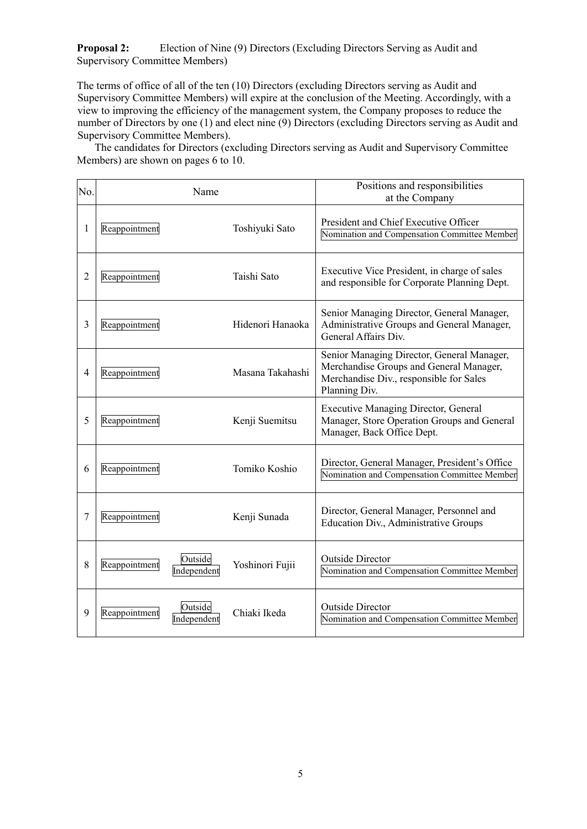**Proposal 2:** Election of Nine (9) Directors (Excluding Directors Serving as Audit and Supervisory Committee Members)

The terms of office of all of the ten (10) Directors (excluding Directors serving as Audit and Supervisory Committee Members) will expire at the conclusion of the Meeting. Accordingly, with a view to improving the efficiency of the management system, the Company proposes to reduce the number of Directors by one (1) and elect nine (9) Directors (excluding Directors serving as Audit and Supervisory Committee Members).

The candidates for Directors (excluding Directors serving as Audit and Supervisory Committee Members) are shown on pages 6 to 10.

| No. |               | Name                   |                  | Positions and responsibilities<br>at the Company                                                                                                  |
|-----|---------------|------------------------|------------------|---------------------------------------------------------------------------------------------------------------------------------------------------|
| 1   | Reappointment |                        | Toshiyuki Sato   | President and Chief Executive Officer<br>Nomination and Compensation Committee Member                                                             |
| 2   | Reappointment |                        | Taishi Sato      | Executive Vice President, in charge of sales<br>and responsible for Corporate Planning Dept.                                                      |
| 3   | Reappointment |                        | Hidenori Hanaoka | Senior Managing Director, General Manager,<br>Administrative Groups and General Manager,<br>General Affairs Div.                                  |
| 4   | Reappointment |                        | Masana Takahashi | Senior Managing Director, General Manager,<br>Merchandise Groups and General Manager,<br>Merchandise Div., responsible for Sales<br>Planning Div. |
| 5   | Reappointment |                        | Kenji Suemitsu   | <b>Executive Managing Director, General</b><br>Manager, Store Operation Groups and General<br>Manager, Back Office Dept.                          |
| 6   | Reappointment |                        | Tomiko Koshio    | Director, General Manager, President's Office<br>Nomination and Compensation Committee Member                                                     |
| 7   | Reappointment |                        | Kenji Sunada     | Director, General Manager, Personnel and<br>Education Div., Administrative Groups                                                                 |
| 8   | Reappointment | Outside<br>Independent | Yoshinori Fujii  | <b>Outside Director</b><br>Nomination and Compensation Committee Member                                                                           |
| 9   | Reappointment | Outside<br>Independent | Chiaki Ikeda     | <b>Outside Director</b><br>Nomination and Compensation Committee Member                                                                           |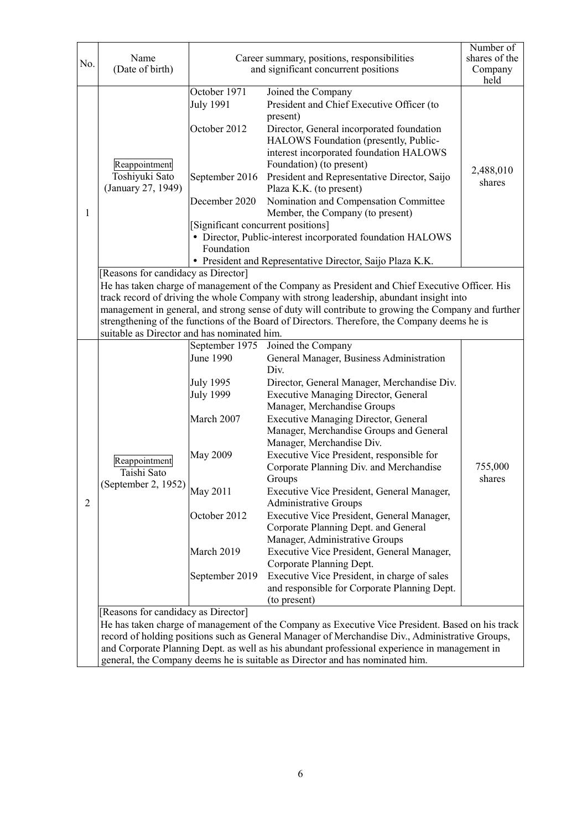| No.            | Name<br>(Date of birth)                                                                                                                                                                                                                                                                                                                                                                                                                                                               | Career summary, positions, responsibilities<br>and significant concurrent positions                                         |                                                                                                                                                                                                                                                                                                                                                                                                                                                                                                                                                                                                                                                                                                                                                                                                                                      | Number of<br>shares of the<br>Company<br>held |  |
|----------------|---------------------------------------------------------------------------------------------------------------------------------------------------------------------------------------------------------------------------------------------------------------------------------------------------------------------------------------------------------------------------------------------------------------------------------------------------------------------------------------|-----------------------------------------------------------------------------------------------------------------------------|--------------------------------------------------------------------------------------------------------------------------------------------------------------------------------------------------------------------------------------------------------------------------------------------------------------------------------------------------------------------------------------------------------------------------------------------------------------------------------------------------------------------------------------------------------------------------------------------------------------------------------------------------------------------------------------------------------------------------------------------------------------------------------------------------------------------------------------|-----------------------------------------------|--|
| 1              | Reappointment<br>Toshiyuki Sato<br>(January 27, 1949)                                                                                                                                                                                                                                                                                                                                                                                                                                 | October 1971<br><b>July 1991</b><br>October 2012<br>September 2016<br>December 2020<br>Significant concurrent positions]    | Joined the Company<br>President and Chief Executive Officer (to<br>present)<br>Director, General incorporated foundation<br>HALOWS Foundation (presently, Public-<br>interest incorporated foundation HALOWS<br>Foundation) (to present)<br>President and Representative Director, Saijo<br>Plaza K.K. (to present)<br>Nomination and Compensation Committee<br>Member, the Company (to present)                                                                                                                                                                                                                                                                                                                                                                                                                                     | 2,488,010<br>shares                           |  |
|                |                                                                                                                                                                                                                                                                                                                                                                                                                                                                                       | Foundation                                                                                                                  | • Director, Public-interest incorporated foundation HALOWS<br>• President and Representative Director, Saijo Plaza K.K.                                                                                                                                                                                                                                                                                                                                                                                                                                                                                                                                                                                                                                                                                                              |                                               |  |
|                | [Reasons for candidacy as Director]<br>He has taken charge of management of the Company as President and Chief Executive Officer. His<br>track record of driving the whole Company with strong leadership, abundant insight into<br>management in general, and strong sense of duty will contribute to growing the Company and further<br>strengthening of the functions of the Board of Directors. Therefore, the Company deems he is<br>suitable as Director and has nominated him. |                                                                                                                             |                                                                                                                                                                                                                                                                                                                                                                                                                                                                                                                                                                                                                                                                                                                                                                                                                                      |                                               |  |
| $\overline{2}$ | Reappointment<br>Taishi Sato<br>(September 2, 1952) $\bigg _{\text{May 2011}}$<br>[Reasons for candidacy as Director]                                                                                                                                                                                                                                                                                                                                                                 | June 1990<br>July 1995<br><b>July 1999</b><br>March 2007<br><b>May 2009</b><br>October 2012<br>March 2019<br>September 2019 | September 1975 Joined the Company<br>General Manager, Business Administration<br>Div.<br>Director, General Manager, Merchandise Div.<br><b>Executive Managing Director, General</b><br>Manager, Merchandise Groups<br><b>Executive Managing Director, General</b><br>Manager, Merchandise Groups and General<br>Manager, Merchandise Div.<br>Executive Vice President, responsible for<br>Corporate Planning Div. and Merchandise<br>Groups<br>Executive Vice President, General Manager,<br>Administrative Groups<br>Executive Vice President, General Manager,<br>Corporate Planning Dept. and General<br>Manager, Administrative Groups<br>Executive Vice President, General Manager,<br>Corporate Planning Dept.<br>Executive Vice President, in charge of sales<br>and responsible for Corporate Planning Dept.<br>(to present) | 755,000<br>shares                             |  |
|                | He has taken charge of management of the Company as Executive Vice President. Based on his track<br>record of holding positions such as General Manager of Merchandise Div., Administrative Groups,<br>and Corporate Planning Dept. as well as his abundant professional experience in management in<br>general, the Company deems he is suitable as Director and has nominated him.                                                                                                  |                                                                                                                             |                                                                                                                                                                                                                                                                                                                                                                                                                                                                                                                                                                                                                                                                                                                                                                                                                                      |                                               |  |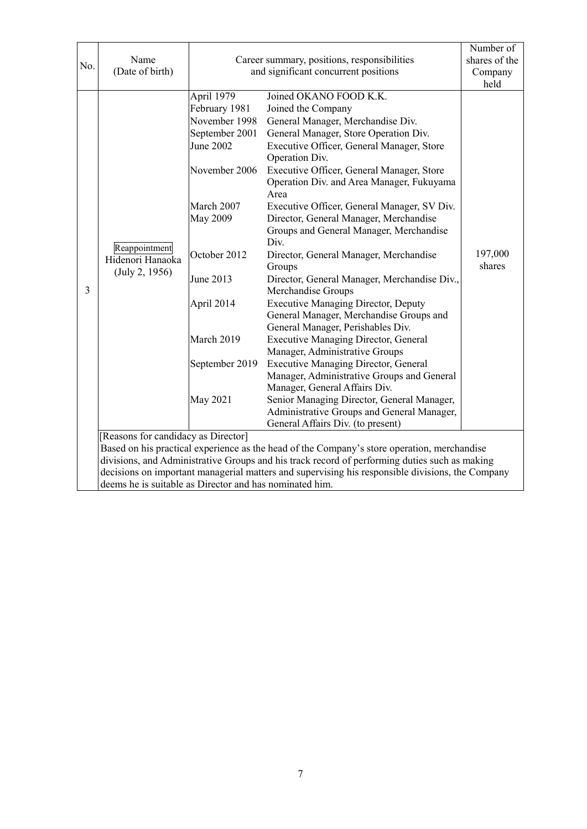|                                                         |                                                                                                                                                                                                   |                                                                                                               |                                                                                             | Number of     |  |
|---------------------------------------------------------|---------------------------------------------------------------------------------------------------------------------------------------------------------------------------------------------------|---------------------------------------------------------------------------------------------------------------|---------------------------------------------------------------------------------------------|---------------|--|
| No.                                                     | Name                                                                                                                                                                                              | Career summary, positions, responsibilities<br>and significant concurrent positions<br>Joined OKANO FOOD K.K. |                                                                                             | shares of the |  |
|                                                         | (Date of birth)                                                                                                                                                                                   |                                                                                                               |                                                                                             | Company       |  |
|                                                         |                                                                                                                                                                                                   |                                                                                                               |                                                                                             | held          |  |
|                                                         |                                                                                                                                                                                                   | April 1979                                                                                                    |                                                                                             |               |  |
|                                                         |                                                                                                                                                                                                   | February 1981                                                                                                 | Joined the Company                                                                          |               |  |
|                                                         |                                                                                                                                                                                                   | November 1998                                                                                                 | General Manager, Merchandise Div.                                                           |               |  |
|                                                         |                                                                                                                                                                                                   | September 2001                                                                                                | General Manager, Store Operation Div.                                                       |               |  |
|                                                         |                                                                                                                                                                                                   | June 2002                                                                                                     | Executive Officer, General Manager, Store<br>Operation Div.                                 |               |  |
|                                                         |                                                                                                                                                                                                   | November 2006                                                                                                 | Executive Officer, General Manager, Store                                                   |               |  |
|                                                         |                                                                                                                                                                                                   |                                                                                                               | Operation Div. and Area Manager, Fukuyama                                                   |               |  |
|                                                         |                                                                                                                                                                                                   |                                                                                                               | Area                                                                                        |               |  |
|                                                         |                                                                                                                                                                                                   | March 2007                                                                                                    | Executive Officer, General Manager, SV Div.                                                 |               |  |
|                                                         |                                                                                                                                                                                                   | <b>May 2009</b>                                                                                               | Director, General Manager, Merchandise                                                      |               |  |
|                                                         |                                                                                                                                                                                                   |                                                                                                               | Groups and General Manager, Merchandise                                                     |               |  |
|                                                         | Reappointment                                                                                                                                                                                     |                                                                                                               | Div.                                                                                        |               |  |
|                                                         | Hidenori Hanaoka                                                                                                                                                                                  | October 2012                                                                                                  | Director, General Manager, Merchandise                                                      | 197,000       |  |
|                                                         | (July 2, 1956)                                                                                                                                                                                    |                                                                                                               | Groups                                                                                      | shares        |  |
|                                                         |                                                                                                                                                                                                   | June 2013                                                                                                     | Director, General Manager, Merchandise Div.,                                                |               |  |
| 3                                                       |                                                                                                                                                                                                   |                                                                                                               | Merchandise Groups                                                                          |               |  |
|                                                         |                                                                                                                                                                                                   | April 2014                                                                                                    | <b>Executive Managing Director, Deputy</b>                                                  |               |  |
|                                                         |                                                                                                                                                                                                   |                                                                                                               | General Manager, Merchandise Groups and                                                     |               |  |
|                                                         |                                                                                                                                                                                                   |                                                                                                               | General Manager, Perishables Div.                                                           |               |  |
|                                                         |                                                                                                                                                                                                   | March 2019                                                                                                    | <b>Executive Managing Director, General</b>                                                 |               |  |
|                                                         |                                                                                                                                                                                                   |                                                                                                               | Manager, Administrative Groups                                                              |               |  |
|                                                         |                                                                                                                                                                                                   | September 2019                                                                                                | <b>Executive Managing Director, General</b>                                                 |               |  |
|                                                         |                                                                                                                                                                                                   |                                                                                                               | Manager, Administrative Groups and General                                                  |               |  |
|                                                         |                                                                                                                                                                                                   |                                                                                                               | Manager, General Affairs Div.                                                               |               |  |
|                                                         |                                                                                                                                                                                                   | May 2021                                                                                                      | Senior Managing Director, General Manager,                                                  |               |  |
|                                                         |                                                                                                                                                                                                   |                                                                                                               | Administrative Groups and General Manager,                                                  |               |  |
|                                                         |                                                                                                                                                                                                   |                                                                                                               | General Affairs Div. (to present)                                                           |               |  |
|                                                         | [Reasons for candidacy as Director]                                                                                                                                                               |                                                                                                               |                                                                                             |               |  |
|                                                         |                                                                                                                                                                                                   |                                                                                                               | Based on his practical experience as the head of the Company's store operation, merchandise |               |  |
|                                                         | divisions, and Administrative Groups and his track record of performing duties such as making<br>decisions on important managerial matters and supervising his responsible divisions, the Company |                                                                                                               |                                                                                             |               |  |
| deems he is suitable as Director and has nominated him. |                                                                                                                                                                                                   |                                                                                                               |                                                                                             |               |  |
|                                                         |                                                                                                                                                                                                   |                                                                                                               |                                                                                             |               |  |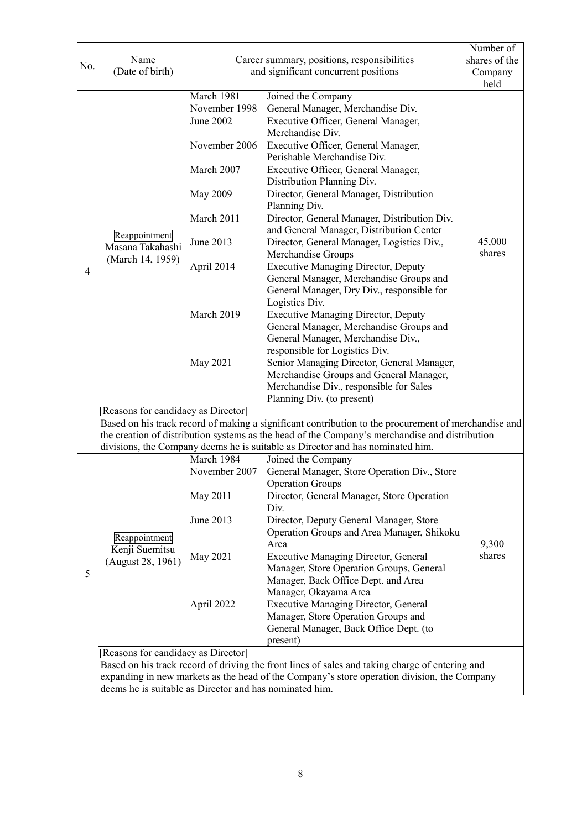| No. | Name<br>(Date of birth)                                                                                                                                                                                                                                                                          | Career summary, positions, responsibilities<br>and significant concurrent positions |                                                                                                                                                                                                          | Number of<br>shares of the<br>Company<br>held |  |  |
|-----|--------------------------------------------------------------------------------------------------------------------------------------------------------------------------------------------------------------------------------------------------------------------------------------------------|-------------------------------------------------------------------------------------|----------------------------------------------------------------------------------------------------------------------------------------------------------------------------------------------------------|-----------------------------------------------|--|--|
|     |                                                                                                                                                                                                                                                                                                  | March 1981<br>November 1998<br><b>June 2002</b>                                     | Joined the Company<br>General Manager, Merchandise Div.<br>Executive Officer, General Manager,<br>Merchandise Div.                                                                                       |                                               |  |  |
|     |                                                                                                                                                                                                                                                                                                  | November 2006                                                                       | Executive Officer, General Manager,<br>Perishable Merchandise Div.                                                                                                                                       |                                               |  |  |
|     |                                                                                                                                                                                                                                                                                                  | March 2007                                                                          | Executive Officer, General Manager,<br>Distribution Planning Div.                                                                                                                                        |                                               |  |  |
|     |                                                                                                                                                                                                                                                                                                  | <b>May 2009</b>                                                                     | Director, General Manager, Distribution<br>Planning Div.                                                                                                                                                 |                                               |  |  |
|     |                                                                                                                                                                                                                                                                                                  | March 2011                                                                          | Director, General Manager, Distribution Div.<br>and General Manager, Distribution Center                                                                                                                 |                                               |  |  |
|     | Reappointment<br>Masana Takahashi                                                                                                                                                                                                                                                                | June 2013                                                                           | Director, General Manager, Logistics Div.,<br>Merchandise Groups                                                                                                                                         | 45,000<br>shares                              |  |  |
| 4   | (March 14, 1959)                                                                                                                                                                                                                                                                                 | April 2014                                                                          | <b>Executive Managing Director, Deputy</b><br>General Manager, Merchandise Groups and<br>General Manager, Dry Div., responsible for<br>Logistics Div.                                                    |                                               |  |  |
|     |                                                                                                                                                                                                                                                                                                  | March 2019                                                                          | <b>Executive Managing Director, Deputy</b><br>General Manager, Merchandise Groups and<br>General Manager, Merchandise Div.,<br>responsible for Logistics Div.                                            |                                               |  |  |
|     |                                                                                                                                                                                                                                                                                                  | May 2021                                                                            | Senior Managing Director, General Manager,<br>Merchandise Groups and General Manager,<br>Merchandise Div., responsible for Sales<br>Planning Div. (to present)                                           |                                               |  |  |
|     | [Reasons for candidacy as Director]                                                                                                                                                                                                                                                              |                                                                                     |                                                                                                                                                                                                          |                                               |  |  |
|     | Based on his track record of making a significant contribution to the procurement of merchandise and<br>the creation of distribution systems as the head of the Company's merchandise and distribution<br>divisions, the Company deems he is suitable as Director and has nominated him.         |                                                                                     |                                                                                                                                                                                                          |                                               |  |  |
|     |                                                                                                                                                                                                                                                                                                  | March 1984                                                                          | Joined the Company                                                                                                                                                                                       |                                               |  |  |
|     | Reappointment<br>Kenji Suemitsu<br>(August 28, 1961)                                                                                                                                                                                                                                             | November 2007                                                                       | General Manager, Store Operation Div., Store                                                                                                                                                             |                                               |  |  |
|     |                                                                                                                                                                                                                                                                                                  | May 2011                                                                            | <b>Operation Groups</b><br>Director, General Manager, Store Operation<br>Div.                                                                                                                            |                                               |  |  |
|     |                                                                                                                                                                                                                                                                                                  | June 2013                                                                           | Director, Deputy General Manager, Store<br>Operation Groups and Area Manager, Shikoku<br>Area                                                                                                            | 9,300                                         |  |  |
| 5   |                                                                                                                                                                                                                                                                                                  | May 2021                                                                            | <b>Executive Managing Director, General</b><br>Manager, Store Operation Groups, General                                                                                                                  | shares                                        |  |  |
|     |                                                                                                                                                                                                                                                                                                  | April 2022                                                                          | Manager, Back Office Dept. and Area<br>Manager, Okayama Area<br><b>Executive Managing Director, General</b><br>Manager, Store Operation Groups and<br>General Manager, Back Office Dept. (to<br>present) |                                               |  |  |
|     | [Reasons for candidacy as Director]<br>Based on his track record of driving the front lines of sales and taking charge of entering and<br>expanding in new markets as the head of the Company's store operation division, the Company<br>deems he is suitable as Director and has nominated him. |                                                                                     |                                                                                                                                                                                                          |                                               |  |  |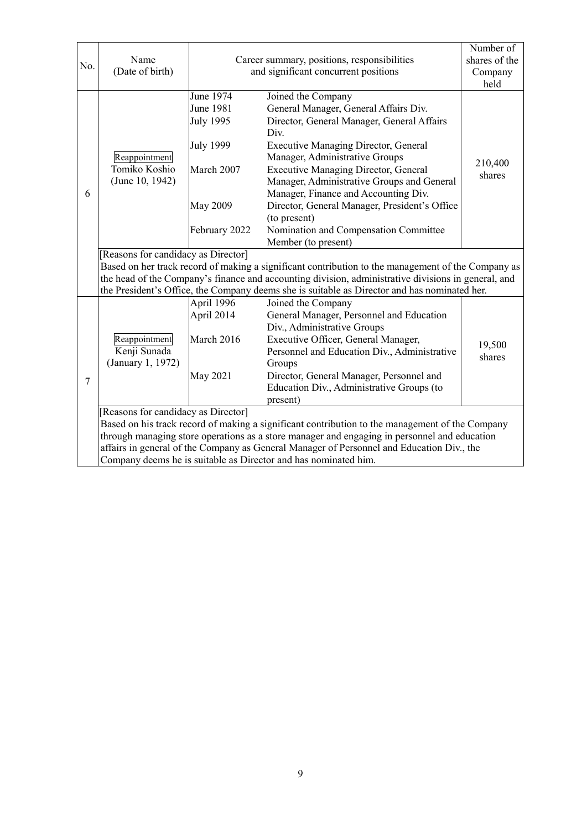| No. | Name<br>(Date of birth)                                                                                                                                                                             | Career summary, positions, responsibilities                                |                                                                                                                                                                                                                                                                                                                                                                                                          | Number of<br>shares of the<br>Company |  |
|-----|-----------------------------------------------------------------------------------------------------------------------------------------------------------------------------------------------------|----------------------------------------------------------------------------|----------------------------------------------------------------------------------------------------------------------------------------------------------------------------------------------------------------------------------------------------------------------------------------------------------------------------------------------------------------------------------------------------------|---------------------------------------|--|
|     |                                                                                                                                                                                                     | and significant concurrent positions                                       |                                                                                                                                                                                                                                                                                                                                                                                                          | held                                  |  |
| 6   | Reappointment<br>Tomiko Koshio<br>(June 10, 1942)                                                                                                                                                   | June 1974<br>June 1981<br>July 1995<br>July 1999<br>March 2007<br>May 2009 | Joined the Company<br>General Manager, General Affairs Div.<br>Director, General Manager, General Affairs<br>Div.<br><b>Executive Managing Director, General</b><br>Manager, Administrative Groups<br><b>Executive Managing Director, General</b><br>Manager, Administrative Groups and General<br>Manager, Finance and Accounting Div.<br>Director, General Manager, President's Office<br>(to present) | 210,400<br>shares                     |  |
|     |                                                                                                                                                                                                     | February 2022                                                              | Nomination and Compensation Committee<br>Member (to present)                                                                                                                                                                                                                                                                                                                                             |                                       |  |
|     | [Reasons for candidacy as Director]                                                                                                                                                                 |                                                                            |                                                                                                                                                                                                                                                                                                                                                                                                          |                                       |  |
|     | Based on her track record of making a significant contribution to the management of the Company as                                                                                                  |                                                                            |                                                                                                                                                                                                                                                                                                                                                                                                          |                                       |  |
|     | the head of the Company's finance and accounting division, administrative divisions in general, and<br>the President's Office, the Company deems she is suitable as Director and has nominated her. |                                                                            |                                                                                                                                                                                                                                                                                                                                                                                                          |                                       |  |
|     |                                                                                                                                                                                                     | April 1996                                                                 | Joined the Company                                                                                                                                                                                                                                                                                                                                                                                       |                                       |  |
|     |                                                                                                                                                                                                     | April 2014                                                                 | General Manager, Personnel and Education                                                                                                                                                                                                                                                                                                                                                                 |                                       |  |
| 7   | Reappointment<br>Kenji Sunada<br>(January 1, 1972)                                                                                                                                                  | March 2016                                                                 | Div., Administrative Groups<br>Executive Officer, General Manager,<br>Personnel and Education Div., Administrative<br>Groups                                                                                                                                                                                                                                                                             | 19,500<br>shares                      |  |
|     |                                                                                                                                                                                                     | <b>May 2021</b>                                                            | Director, General Manager, Personnel and<br>Education Div., Administrative Groups (to<br>present)                                                                                                                                                                                                                                                                                                        |                                       |  |
|     | [Reasons for candidacy as Director]                                                                                                                                                                 |                                                                            |                                                                                                                                                                                                                                                                                                                                                                                                          |                                       |  |
|     | Based on his track record of making a significant contribution to the management of the Company<br>through managing store operations as a store manager and engaging in personnel and education     |                                                                            |                                                                                                                                                                                                                                                                                                                                                                                                          |                                       |  |
|     | affairs in general of the Company as General Manager of Personnel and Education Div., the                                                                                                           |                                                                            |                                                                                                                                                                                                                                                                                                                                                                                                          |                                       |  |
|     | Company deems he is suitable as Director and has nominated him.                                                                                                                                     |                                                                            |                                                                                                                                                                                                                                                                                                                                                                                                          |                                       |  |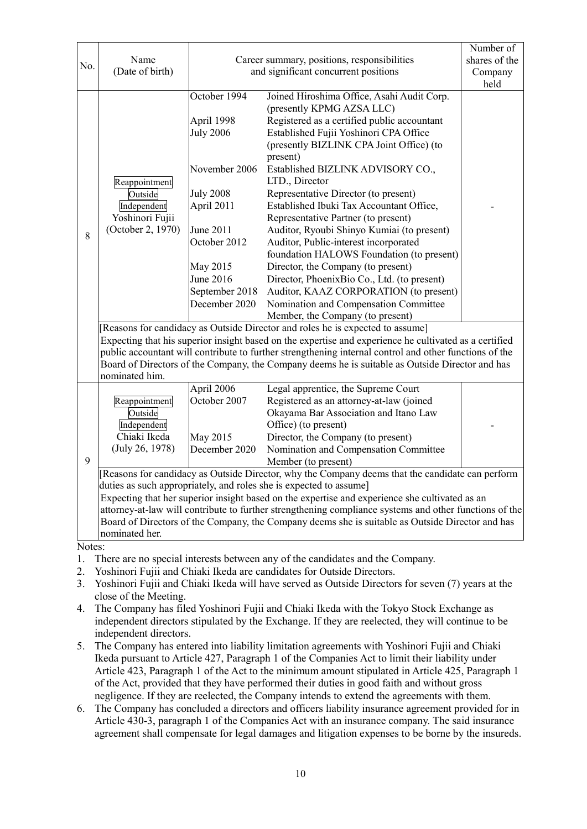| No.            | Name<br>(Date of birth)                                                                                                                                                                                                                                                                                                                                                                                                                                                                                  | Career summary, positions, responsibilities<br>and significant concurrent positions                                                                                                               |                                                                                                                                                                                                                                                                                                                                                                                                                                                                                                                                                                                                                                                                                                                                                            | Number of<br>shares of the<br>Company<br>held |  |
|----------------|----------------------------------------------------------------------------------------------------------------------------------------------------------------------------------------------------------------------------------------------------------------------------------------------------------------------------------------------------------------------------------------------------------------------------------------------------------------------------------------------------------|---------------------------------------------------------------------------------------------------------------------------------------------------------------------------------------------------|------------------------------------------------------------------------------------------------------------------------------------------------------------------------------------------------------------------------------------------------------------------------------------------------------------------------------------------------------------------------------------------------------------------------------------------------------------------------------------------------------------------------------------------------------------------------------------------------------------------------------------------------------------------------------------------------------------------------------------------------------------|-----------------------------------------------|--|
| 8              | Reappointment<br>Outside<br>Independent<br>Yoshinori Fujii<br>(October 2, 1970)                                                                                                                                                                                                                                                                                                                                                                                                                          | October 1994<br>April 1998<br><b>July 2006</b><br>November 2006<br><b>July 2008</b><br>April 2011<br><b>June 2011</b><br>October 2012<br>May 2015<br>June 2016<br>September 2018<br>December 2020 | Joined Hiroshima Office, Asahi Audit Corp.<br>(presently KPMG AZSA LLC)<br>Registered as a certified public accountant<br>Established Fujii Yoshinori CPA Office<br>(presently BIZLINK CPA Joint Office) (to<br>present)<br>Established BIZLINK ADVISORY CO.,<br>LTD., Director<br>Representative Director (to present)<br>Established Ibuki Tax Accountant Office,<br>Representative Partner (to present)<br>Auditor, Ryoubi Shinyo Kumiai (to present)<br>Auditor, Public-interest incorporated<br>foundation HALOWS Foundation (to present)<br>Director, the Company (to present)<br>Director, PhoenixBio Co., Ltd. (to present)<br>Auditor, KAAZ CORPORATION (to present)<br>Nomination and Compensation Committee<br>Member, the Company (to present) |                                               |  |
|                | [Reasons for candidacy as Outside Director and roles he is expected to assume]<br>Expecting that his superior insight based on the expertise and experience he cultivated as a certified<br>public accountant will contribute to further strengthening internal control and other functions of the<br>Board of Directors of the Company, the Company deems he is suitable as Outside Director and has<br>nominated him.                                                                                  |                                                                                                                                                                                                   |                                                                                                                                                                                                                                                                                                                                                                                                                                                                                                                                                                                                                                                                                                                                                            |                                               |  |
| 9              | Reappointment<br>Outside<br>Independent<br>Chiaki Ikeda<br>(July 26, 1978)                                                                                                                                                                                                                                                                                                                                                                                                                               | April 2006<br>October 2007<br>May 2015<br>December 2020                                                                                                                                           | Legal apprentice, the Supreme Court<br>Registered as an attorney-at-law (joined<br>Okayama Bar Association and Itano Law<br>Office) (to present)<br>Director, the Company (to present)<br>Nomination and Compensation Committee<br>Member (to present)                                                                                                                                                                                                                                                                                                                                                                                                                                                                                                     |                                               |  |
|                | [Reasons for candidacy as Outside Director, why the Company deems that the candidate can perform<br>duties as such appropriately, and roles she is expected to assume]<br>Expecting that her superior insight based on the expertise and experience she cultivated as an<br>attorney-at-law will contribute to further strengthening compliance systems and other functions of the<br>Board of Directors of the Company, the Company deems she is suitable as Outside Director and has<br>nominated her. |                                                                                                                                                                                                   |                                                                                                                                                                                                                                                                                                                                                                                                                                                                                                                                                                                                                                                                                                                                                            |                                               |  |
| 1.<br>2.<br>3. | Notes:<br>There are no special interests between any of the candidates and the Company.<br>Yoshinori Fujii and Chiaki Ikeda are candidates for Outside Directors.<br>Yoshinori Fujii and Chiaki Ikeda will have served as Outside Directors for seven (7) years at the                                                                                                                                                                                                                                   |                                                                                                                                                                                                   |                                                                                                                                                                                                                                                                                                                                                                                                                                                                                                                                                                                                                                                                                                                                                            |                                               |  |

- close of the Meeting.
- 4. The Company has filed Yoshinori Fujii and Chiaki Ikeda with the Tokyo Stock Exchange as independent directors stipulated by the Exchange. If they are reelected, they will continue to be independent directors.
- 5. The Company has entered into liability limitation agreements with Yoshinori Fujii and Chiaki Ikeda pursuant to Article 427, Paragraph 1 of the Companies Act to limit their liability under Article 423, Paragraph 1 of the Act to the minimum amount stipulated in Article 425, Paragraph 1 of the Act, provided that they have performed their duties in good faith and without gross negligence. If they are reelected, the Company intends to extend the agreements with them.
- 6. The Company has concluded a directors and officers liability insurance agreement provided for in Article 430-3, paragraph 1 of the Companies Act with an insurance company. The said insurance agreement shall compensate for legal damages and litigation expenses to be borne by the insureds.